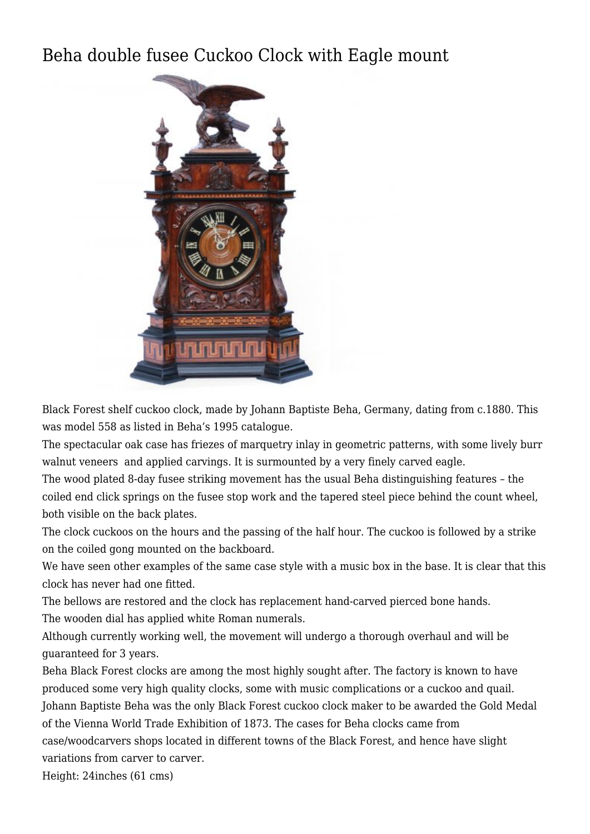## [Beha double fusee Cuckoo Clock with Eagle mount](http://www.ukclocks.com/products/beha-double-fusee-cuckoo-clock-with-eagle-mount/)



Black Forest shelf cuckoo clock, made by Johann Baptiste Beha, Germany, dating from c.1880. This was model 558 as listed in [Beha's 1995 catalogue.](http://www.northcoastimports.com/pdf/Beha%20Clock%20Catalog.pdf)

The spectacular oak case has friezes of marquetry inlay in geometric patterns, with some lively burr walnut veneers and applied carvings. It is surmounted by a very finely carved eagle.

The wood plated 8-day fusee striking movement has the usual Beha distinguishing features – the coiled end click springs on the fusee stop work and the tapered steel piece behind the count wheel, both visible on the back plates.

The clock cuckoos on the hours and the passing of the half hour. The cuckoo is followed by a strike on the coiled gong mounted on the backboard.

We have seen other examples of the same case style with a music box in the base. It is clear that this clock has never had one fitted.

The bellows are restored and the clock has replacement hand-carved pierced bone hands. The wooden dial has applied white Roman numerals.

Although currently working well, the movement will undergo a thorough overhaul and will be guaranteed for 3 years.

Beha Black Forest clocks are among the most highly sought after. The factory is known to have produced some very high quality clocks, some with music complications or a cuckoo and quail. Johann Baptiste Beha was the only Black Forest cuckoo clock maker to be awarded the Gold Medal of the Vienna World Trade Exhibition of 1873. The cases for Beha clocks came from case/woodcarvers shops located in different towns of the Black Forest, and hence have slight variations from carver to carver.

Height: 24inches (61 cms)